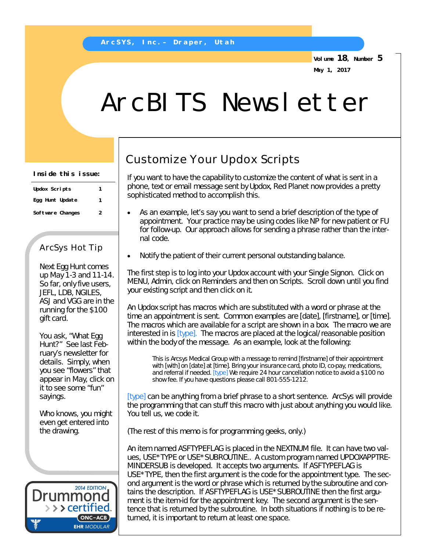**Volume 18, Number 5 May 1, 2017**

# ArcBITS Newsletter

| Updox Scripts    | 1 |
|------------------|---|
| Egg Hunt Update  | 1 |
| Software Changes | 2 |

### ArcSys Hot Tip

Next Egg Hunt comes up May 1-3 and 11-14. So far, only five users, JEFL, LDB, NGILES, ASJ and VGG are in the running for the \$100 gift card.

You ask, "What Egg Hunt?" See last February's newsletter for details. Simply, when you see "flowers" that appear in May, click on it to see some "fun" sayings.

Who knows, you might even get entered into the drawing.



## Customize Your Updox Scripts

If you want to have the capability to customize the content of what is sent in a phone, text or email message sent by Updox, Red Planet now provides a pretty sophisticated method to accomplish this.

- As an example, let's say you want to send a brief description of the type of appointment. Your practice may be using codes like NP for new patient or FU for follow-up. Our approach allows for sending a phrase rather than the internal code.
- Notify the patient of their current personal outstanding balance.

The first step is to log into your Updox account with your Single Signon. Click on MENU, Admin, click on Reminders and then on Scripts. Scroll down until you find your existing script and then click on it.

An Updox script has macros which are substituted with a word or phrase at the time an appointment is sent. Common examples are [date], [firstname], or [time]. The macros which are available for a script are shown in a box. The macro we are interested in is [type]. The macros are placed at the logical/reasonable position within the body of the message. As an example, look at the following:

This is Arcsys Medical Group with a message to remind [firstname] of their appointment with [with] on [date] at [time]. Bring your insurance card, photo ID, co-pay, medications, and referral if needed. [type] We require 24 hour cancellation notice to avoid a \$100 no show fee. If you have questions please call 801-555-1212.

[type] can be anything from a brief phrase to a short sentence. ArcSys will provide the programming that can stuff this macro with just about anything you would like. You tell us, we code it.

(*The rest of this memo is for programming geeks, only.)*

An item named ASFTYPEFLAG is placed in the NEXTNUM file. It can have two values, USE\*TYPE or USE\*SUBROUTINE.. A custom program named UPDOXAPPTRE-MINDERSUB is developed. It accepts two arguments. If ASFTYPEFLAG is USE\*TYPE, then the first argument is the code for the appointment type. The second argument is the word or phrase which is returned by the subroutine and contains the description. If ASFTYPEFLAG is USE\*SUBROUTINE then the first argument is the item-id for the appointment key. The second argument is the sentence that is returned by the subroutine. In both situations if nothing is to be returned, it is important to return at least one space.